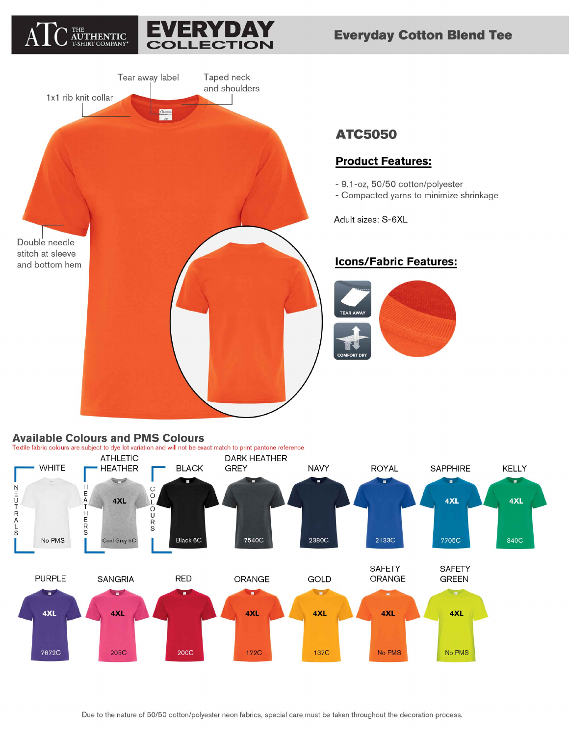





## **Available Colours and PMS Colours**